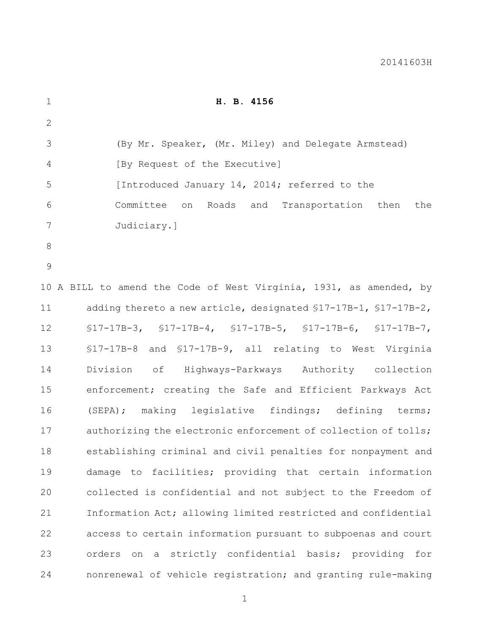| $\mathbf 1$    | H. B. 4156                                                            |
|----------------|-----------------------------------------------------------------------|
| $\mathbf{2}$   |                                                                       |
| 3              | (By Mr. Speaker, (Mr. Miley) and Delegate Armstead)                   |
| $\overline{4}$ | [By Request of the Executive]                                         |
| 5              | [Introduced January 14, 2014; referred to the                         |
| 6              | Committee on<br>Roads and Transportation then<br>the                  |
| 7              | Judiciary.]                                                           |
| $8\,$          |                                                                       |
| $\mathsf{9}$   |                                                                       |
|                | 10 A BILL to amend the Code of West Virginia, 1931, as amended, by    |
| 11             | adding thereto a new article, designated $$17-17B-1$ , $$17-17B-2$ ,  |
| 12             | $$17-17B-3$ , $$17-17B-4$ , $$17-17B-5$ , $$17-17B-6$ , $$17-17B-7$ , |
| 13             | \$17-17B-8 and \$17-17B-9, all relating to West Virginia              |
| 14             | Division of Highways-Parkways Authority collection                    |
| 15             | enforcement; creating the Safe and Efficient Parkways Act             |
| 16             | (SEPA); making legislative findings; defining terms;                  |
| 17             | authorizing the electronic enforcement of collection of tolls;        |
| 18             | establishing criminal and civil penalties for nonpayment and          |
| 19             | damage to facilities; providing that certain information              |
| 20             | collected is confidential and not subject to the Freedom of           |
| 21             | Information Act; allowing limited restricted and confidential         |
| 22             | access to certain information pursuant to subpoenas and court         |
| 23             | orders on a strictly confidential basis; providing for                |
| 24             | nonrenewal of vehicle registration; and granting rule-making          |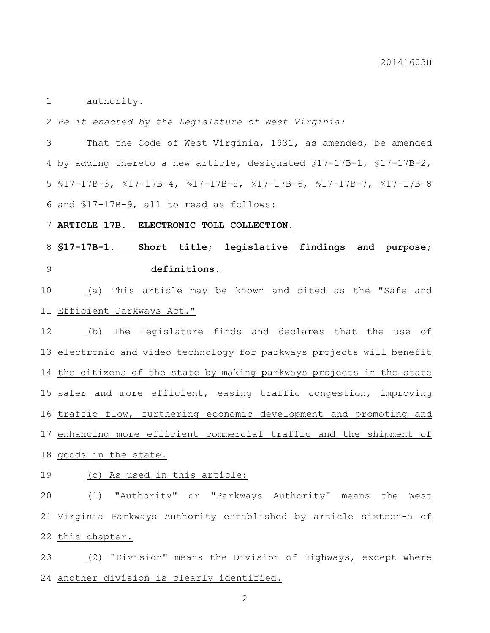authority.

*Be it enacted by the Legislature of West Virginia:*

 That the Code of West Virginia, 1931, as amended, be amended by adding thereto a new article, designated §17-17B-1, §17-17B-2, §17-17B-3, §17-17B-4, §17-17B-5, §17-17B-6, §17-17B-7, §17-17B-8 and §17-17B-9, all to read as follows:

**ARTICLE 17B. ELECTRONIC TOLL COLLECTION.**

# **§17-17B-1. Short title; legislative findings and purpose; definitions.**

 (a) This article may be known and cited as the "Safe and Efficient Parkways Act."

 (b) The Legislature finds and declares that the use of electronic and video technology for parkways projects will benefit the citizens of the state by making parkways projects in the state safer and more efficient, easing traffic congestion, improving traffic flow, furthering economic development and promoting and enhancing more efficient commercial traffic and the shipment of goods in the state.

## 19 (c) As used in this article:

 (1) "Authority" or "Parkways Authority" means the West Virginia Parkways Authority established by article sixteen-a of this chapter.

 (2) "Division" means the Division of Highways, except where another division is clearly identified.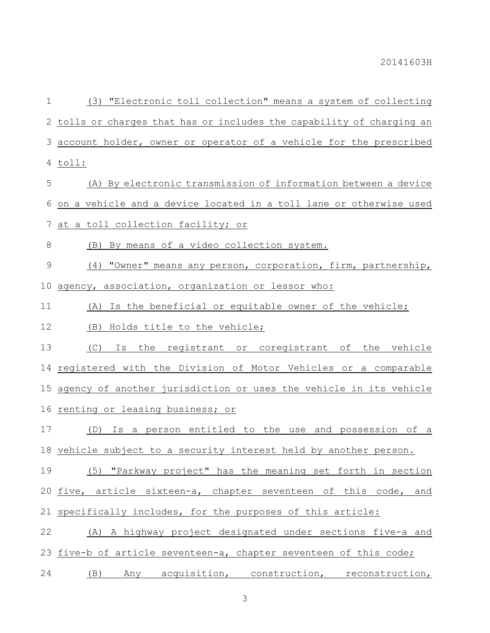(3) "Electronic toll collection" means a system of collecting tolls or charges that has or includes the capability of charging an account holder, owner or operator of a vehicle for the prescribed toll: (A) By electronic transmission of information between a device on a vehicle and a device located in a toll lane or otherwise used at a toll collection facility; or (B) By means of a video collection system. (4) "Owner" means any person, corporation, firm, partnership, agency, association, organization or lessor who: (A) Is the beneficial or equitable owner of the vehicle; (B) Holds title to the vehicle; (C) Is the registrant or coregistrant of the vehicle registered with the Division of Motor Vehicles or a comparable agency of another jurisdiction or uses the vehicle in its vehicle renting or leasing business; or (D) Is a person entitled to the use and possession of a vehicle subject to a security interest held by another person. (5) "Parkway project" has the meaning set forth in section five, article sixteen-a, chapter seventeen of this code, and specifically includes, for the purposes of this article: (A) A highway project designated under sections five-a and 23 five-b of article seventeen-a, chapter seventeen of this code; (B) Any acquisition, construction, reconstruction,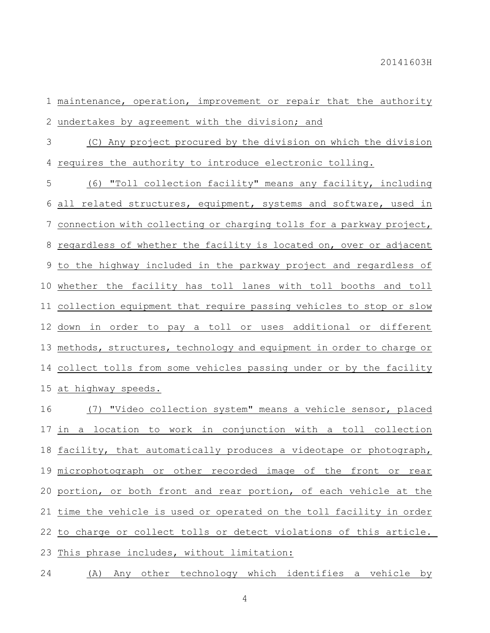maintenance, operation, improvement or repair that the authority undertakes by agreement with the division; and

 (C) Any project procured by the division on which the division requires the authority to introduce electronic tolling.

 (6) "Toll collection facility" means any facility, including all related structures, equipment, systems and software, used in connection with collecting or charging tolls for a parkway project, 8 regardless of whether the facility is located on, over or adjacent to the highway included in the parkway project and regardless of whether the facility has toll lanes with toll booths and toll collection equipment that require passing vehicles to stop or slow down in order to pay a toll or uses additional or different methods, structures, technology and equipment in order to charge or 14 collect tolls from some vehicles passing under or by the facility at highway speeds.

 (7) "Video collection system" means a vehicle sensor, placed in a location to work in conjunction with a toll collection facility, that automatically produces a videotape or photograph, microphotograph or other recorded image of the front or rear portion, or both front and rear portion, of each vehicle at the time the vehicle is used or operated on the toll facility in order to charge or collect tolls or detect violations of this article. This phrase includes, without limitation:

(A) Any other technology which identifies a vehicle by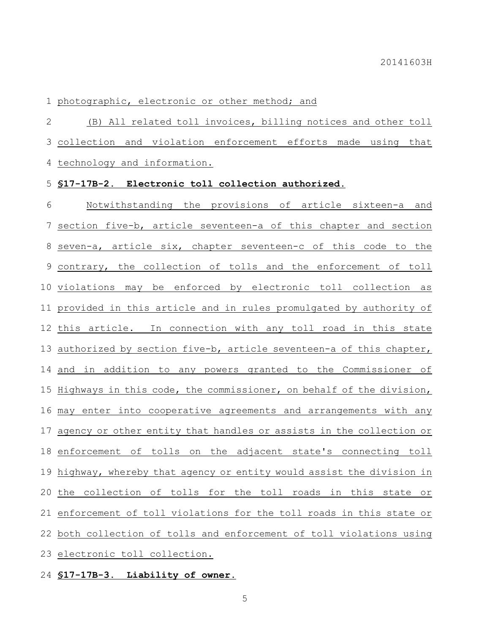## photographic, electronic or other method; and

 (B) All related toll invoices, billing notices and other toll collection and violation enforcement efforts made using that technology and information.

#### **§17-17B-2. Electronic toll collection authorized.**

 Notwithstanding the provisions of article sixteen-a and section five-b, article seventeen-a of this chapter and section seven-a, article six, chapter seventeen-c of this code to the contrary, the collection of tolls and the enforcement of toll violations may be enforced by electronic toll collection as provided in this article and in rules promulgated by authority of this article. In connection with any toll road in this state authorized by section five-b, article seventeen-a of this chapter, and in addition to any powers granted to the Commissioner of Highways in this code, the commissioner, on behalf of the division, may enter into cooperative agreements and arrangements with any agency or other entity that handles or assists in the collection or enforcement of tolls on the adjacent state's connecting toll highway, whereby that agency or entity would assist the division in the collection of tolls for the toll roads in this state or enforcement of toll violations for the toll roads in this state or both collection of tolls and enforcement of toll violations using electronic toll collection.

## **§17-17B-3. Liability of owner.**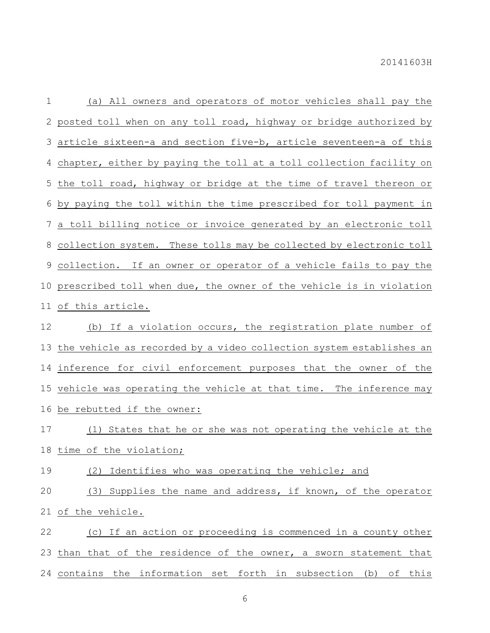(a) All owners and operators of motor vehicles shall pay the posted toll when on any toll road, highway or bridge authorized by article sixteen-a and section five-b, article seventeen-a of this chapter, either by paying the toll at a toll collection facility on the toll road, highway or bridge at the time of travel thereon or by paying the toll within the time prescribed for toll payment in a toll billing notice or invoice generated by an electronic toll collection system. These tolls may be collected by electronic toll collection. If an owner or operator of a vehicle fails to pay the prescribed toll when due, the owner of the vehicle is in violation of this article. (b) If a violation occurs, the registration plate number of the vehicle as recorded by a video collection system establishes an inference for civil enforcement purposes that the owner of the vehicle was operating the vehicle at that time. The inference may be rebutted if the owner: (1) States that he or she was not operating the vehicle at the time of the violation;

(2) Identifies who was operating the vehicle; and

 (3) Supplies the name and address, if known, of the operator of the vehicle.

 (c) If an action or proceeding is commenced in a county other than that of the residence of the owner, a sworn statement that contains the information set forth in subsection (b) of this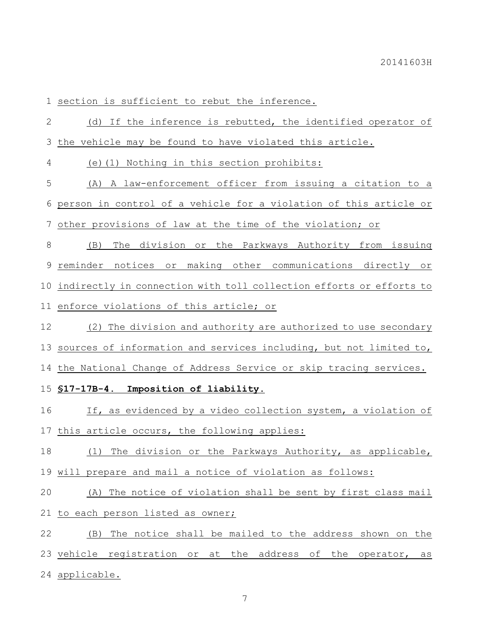1 section is sufficient to rebut the inference.

| $\mathbf{2}$ | (d) If the inference is rebutted, the identified operator of        |
|--------------|---------------------------------------------------------------------|
| 3            | the vehicle may be found to have violated this article.             |
| 4            | (e)(1) Nothing in this section prohibits:                           |
| 5            | A law-enforcement officer from issuing a citation to a<br>(A)       |
| 6            | person in control of a vehicle for a violation of this article or   |
| 7            | other provisions of law at the time of the violation; or            |
| $\,8\,$      | The division or the Parkways Authority from issuing<br>(B)          |
| 9            | reminder notices or making other communications directly or         |
| 10           | indirectly in connection with toll collection efforts or efforts to |
| 11           | enforce violations of this article; or                              |
| 12           | (2) The division and authority are authorized to use secondary      |
| 13           | sources of information and services including, but not limited to,  |
| 14           | the National Change of Address Service or skip tracing services.    |
| 15           | S17-17B-4. Imposition of liability.                                 |
| 16           | If, as evidenced by a video collection system, a violation of       |
| 17           | this article occurs, the following applies:                         |
| 18           | The division or the Parkways Authority, as applicable,<br>(1)       |
|              | 19 will prepare and mail a notice of violation as follows:          |
| 20           | (A) The notice of violation shall be sent by first class mail       |
|              | 21 to each person listed as owner;                                  |
| 22           | The notice shall be mailed to the address shown on the<br>(B)       |
| 23           | vehicle registration or at the address of<br>the operator,<br>as    |
|              | 24 applicable.                                                      |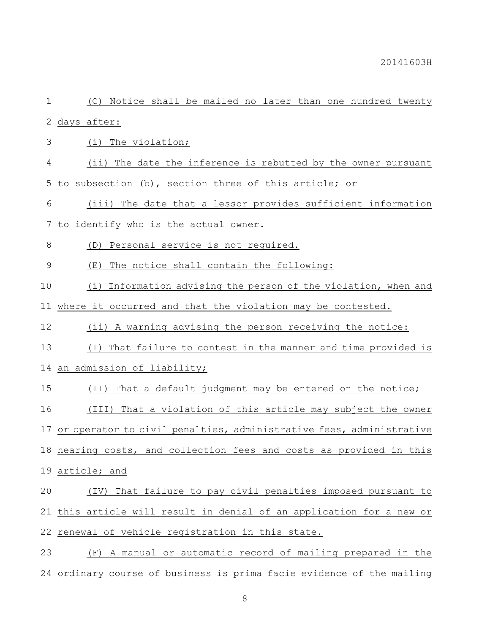| $1\,$         | (C) Notice shall be mailed no later than one hundred twenty            |
|---------------|------------------------------------------------------------------------|
| 2             | days after:                                                            |
| 3             | (i) The violation;                                                     |
| 4             | (ii) The date the inference is rebutted by the owner pursuant          |
| 5             | to subsection (b), section three of this article; or                   |
| 6             | (iii) The date that a lessor provides sufficient information           |
| 7             | to identify who is the actual owner.                                   |
| $\,8\,$       | Personal service is not required.<br>(D)                               |
| $\mathcal{G}$ | The notice shall contain the following:<br>(E)                         |
| 10            | (i) Information advising the person of the violation, when and         |
| 11            | where it occurred and that the violation may be contested.             |
| 12            | (ii) A warning advising the person receiving the notice:               |
| 13            | That failure to contest in the manner and time provided is<br>$(\top)$ |
| 14            | an admission of liability;                                             |
| 15            | That a default judgment may be entered on the notice;<br>(TI)          |
| 16            | (III) That a violation of this article may subject the owner           |
| 17            | or operator to civil penalties, administrative fees, administrative    |
|               | 18 hearing costs, and collection fees and costs as provided in this    |
| 19            | article; and                                                           |
| 20            | That failure to pay civil penalties imposed pursuant to<br>(TV)        |
| 21            | this article will result in denial of an application for a new or      |
| 22            | renewal of vehicle registration in this state.                         |
| 23            | A manual or automatic record of mailing prepared in the<br>(F)         |
|               | 24 ordinary course of business is prima facie evidence of the mailing  |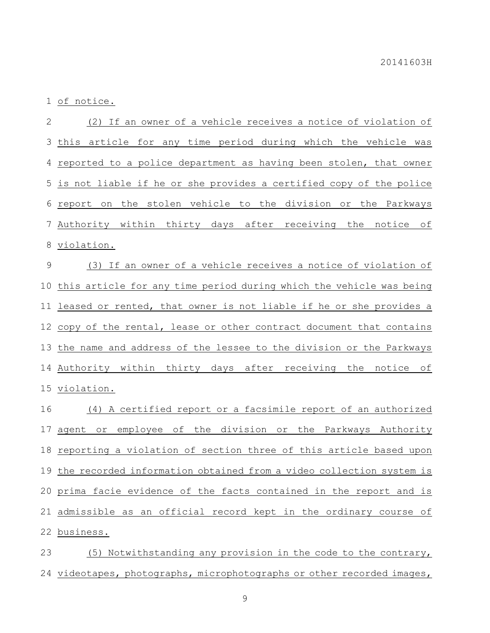of notice.

 (2) If an owner of a vehicle receives a notice of violation of this article for any time period during which the vehicle was reported to a police department as having been stolen, that owner is not liable if he or she provides a certified copy of the police report on the stolen vehicle to the division or the Parkways Authority within thirty days after receiving the notice of violation. (3) If an owner of a vehicle receives a notice of violation of this article for any time period during which the vehicle was being leased or rented, that owner is not liable if he or she provides a copy of the rental, lease or other contract document that contains the name and address of the lessee to the division or the Parkways Authority within thirty days after receiving the notice of violation. (4) A certified report or a facsimile report of an authorized agent or employee of the division or the Parkways Authority reporting a violation of section three of this article based upon the recorded information obtained from a video collection system is

prima facie evidence of the facts contained in the report and is

 admissible as an official record kept in the ordinary course of business.

 (5) Notwithstanding any provision in the code to the contrary, 24 videotapes, photographs, microphotographs or other recorded images,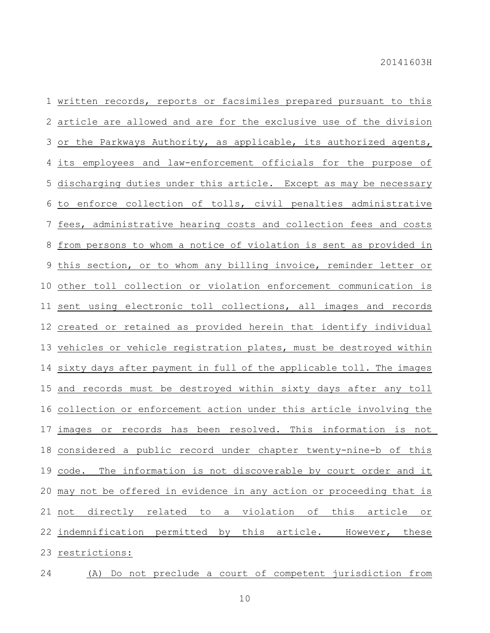written records, reports or facsimiles prepared pursuant to this article are allowed and are for the exclusive use of the division or the Parkways Authority, as applicable, its authorized agents, its employees and law-enforcement officials for the purpose of discharging duties under this article. Except as may be necessary to enforce collection of tolls, civil penalties administrative fees, administrative hearing costs and collection fees and costs from persons to whom a notice of violation is sent as provided in this section, or to whom any billing invoice, reminder letter or other toll collection or violation enforcement communication is sent using electronic toll collections, all images and records created or retained as provided herein that identify individual vehicles or vehicle registration plates, must be destroyed within sixty days after payment in full of the applicable toll. The images and records must be destroyed within sixty days after any toll collection or enforcement action under this article involving the images or records has been resolved. This information is not considered a public record under chapter twenty-nine-b of this code. The information is not discoverable by court order and it may not be offered in evidence in any action or proceeding that is not directly related to a violation of this article or indemnification permitted by this article. However, these restrictions:

(A) Do not preclude a court of competent jurisdiction from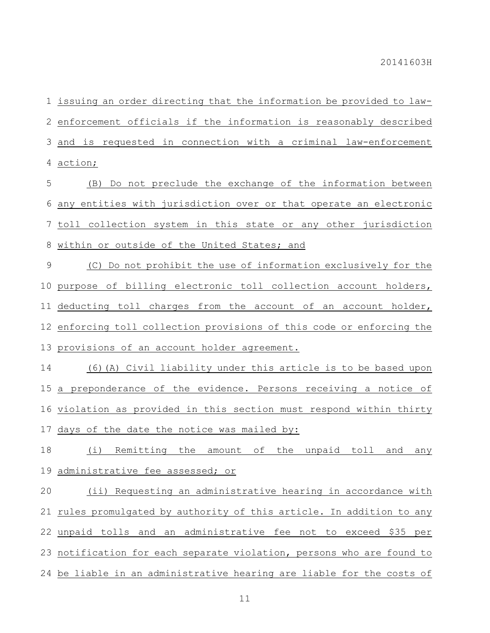issuing an order directing that the information be provided to law- enforcement officials if the information is reasonably described and is requested in connection with a criminal law-enforcement action;

 (B) Do not preclude the exchange of the information between any entities with jurisdiction over or that operate an electronic toll collection system in this state or any other jurisdiction within or outside of the United States; and

 (C) Do not prohibit the use of information exclusively for the purpose of billing electronic toll collection account holders, deducting toll charges from the account of an account holder, 12 enforcing toll collection provisions of this code or enforcing the provisions of an account holder agreement.

 (6)(A) Civil liability under this article is to be based upon a preponderance of the evidence. Persons receiving a notice of violation as provided in this section must respond within thirty days of the date the notice was mailed by:

 (i) Remitting the amount of the unpaid toll and any administrative fee assessed; or

 (ii) Requesting an administrative hearing in accordance with rules promulgated by authority of this article. In addition to any unpaid tolls and an administrative fee not to exceed \$35 per notification for each separate violation, persons who are found to 24 be liable in an administrative hearing are liable for the costs of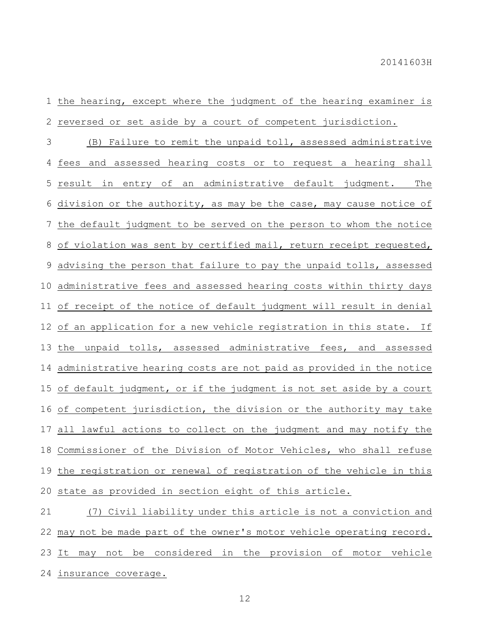the hearing, except where the judgment of the hearing examiner is reversed or set aside by a court of competent jurisdiction.

 (B) Failure to remit the unpaid toll, assessed administrative fees and assessed hearing costs or to request a hearing shall result in entry of an administrative default judgment. The 6 division or the authority, as may be the case, may cause notice of the default judgment to be served on the person to whom the notice 8 of violation was sent by certified mail, return receipt requested, advising the person that failure to pay the unpaid tolls, assessed administrative fees and assessed hearing costs within thirty days of receipt of the notice of default judgment will result in denial of an application for a new vehicle registration in this state. If the unpaid tolls, assessed administrative fees, and assessed administrative hearing costs are not paid as provided in the notice of default judgment, or if the judgment is not set aside by a court of competent jurisdiction, the division or the authority may take all lawful actions to collect on the judgment and may notify the Commissioner of the Division of Motor Vehicles, who shall refuse the registration or renewal of registration of the vehicle in this state as provided in section eight of this article.

 (7) Civil liability under this article is not a conviction and may not be made part of the owner's motor vehicle operating record. 23 It may not be considered in the provision of motor vehicle insurance coverage.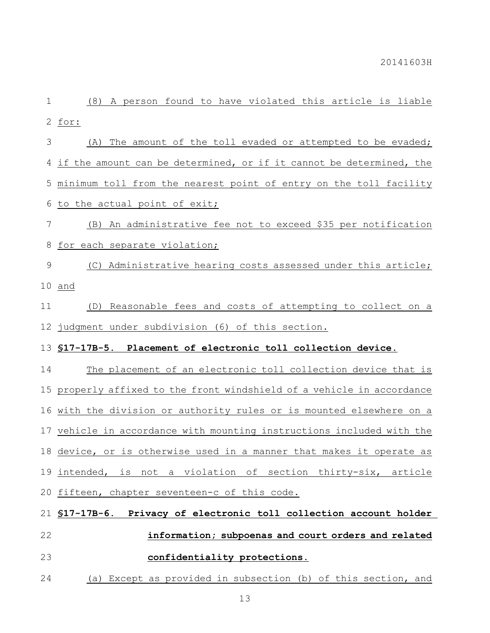(8) A person found to have violated this article is liable for: (A) The amount of the toll evaded or attempted to be evaded; if the amount can be determined, or if it cannot be determined, the minimum toll from the nearest point of entry on the toll facility to the actual point of exit; (B) An administrative fee not to exceed \$35 per notification 8 for each separate violation; (C) Administrative hearing costs assessed under this article; and (D) Reasonable fees and costs of attempting to collect on a judgment under subdivision (6) of this section. **§17-17B-5. Placement of electronic toll collection device.** The placement of an electronic toll collection device that is properly affixed to the front windshield of a vehicle in accordance with the division or authority rules or is mounted elsewhere on a vehicle in accordance with mounting instructions included with the device, or is otherwise used in a manner that makes it operate as intended, is not a violation of section thirty-six, article fifteen, chapter seventeen-c of this code. **§17-17B-6. Privacy of electronic toll collection account holder information; subpoenas and court orders and related confidentiality protections.**

(a) Except as provided in subsection (b) of this section, and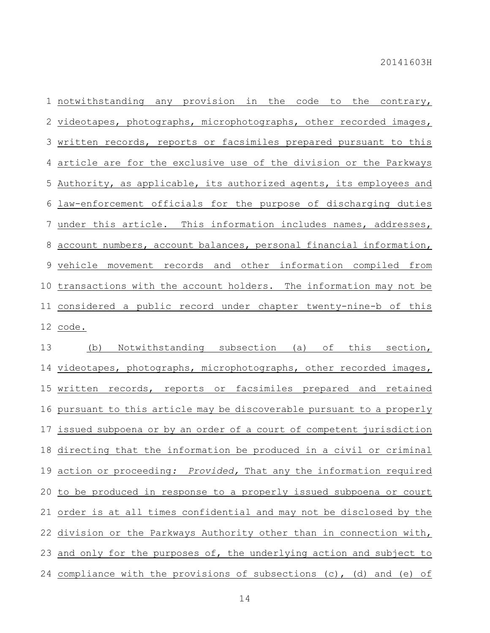notwithstanding any provision in the code to the contrary, videotapes, photographs, microphotographs, other recorded images, written records, reports or facsimiles prepared pursuant to this article are for the exclusive use of the division or the Parkways Authority, as applicable, its authorized agents, its employees and law-enforcement officials for the purpose of discharging duties under this article. This information includes names, addresses, account numbers, account balances, personal financial information, vehicle movement records and other information compiled from transactions with the account holders. The information may not be considered a public record under chapter twenty-nine-b of this code.

 (b) Notwithstanding subsection (a) of this section, videotapes, photographs, microphotographs, other recorded images, written records, reports or facsimiles prepared and retained pursuant to this article may be discoverable pursuant to a properly issued subpoena or by an order of a court of competent jurisdiction directing that the information be produced in a civil or criminal action or proceeding*: Provided,* That any the information required to be produced in response to a properly issued subpoena or court order is at all times confidential and may not be disclosed by the division or the Parkways Authority other than in connection with, 23 and only for the purposes of, the underlying action and subject to 24 compliance with the provisions of subsections  $(c)$ ,  $(d)$  and  $(e)$  of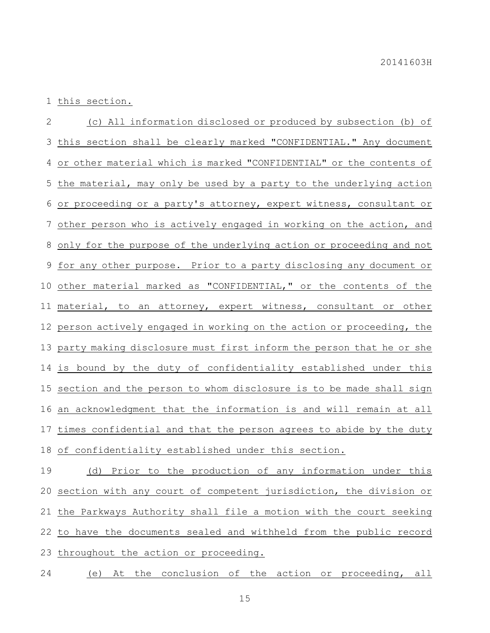this section.

 (c) All information disclosed or produced by subsection (b) of this section shall be clearly marked "CONFIDENTIAL." Any document or other material which is marked "CONFIDENTIAL" or the contents of the material, may only be used by a party to the underlying action or proceeding or a party's attorney, expert witness, consultant or other person who is actively engaged in working on the action, and only for the purpose of the underlying action or proceeding and not for any other purpose. Prior to a party disclosing any document or other material marked as "CONFIDENTIAL," or the contents of the 11 material, to an attorney, expert witness, consultant or other person actively engaged in working on the action or proceeding, the party making disclosure must first inform the person that he or she is bound by the duty of confidentiality established under this section and the person to whom disclosure is to be made shall sign an acknowledgment that the information is and will remain at all times confidential and that the person agrees to abide by the duty of confidentiality established under this section.

 (d) Prior to the production of any information under this section with any court of competent jurisdiction, the division or the Parkways Authority shall file a motion with the court seeking to have the documents sealed and withheld from the public record throughout the action or proceeding.

(e) At the conclusion of the action or proceeding, all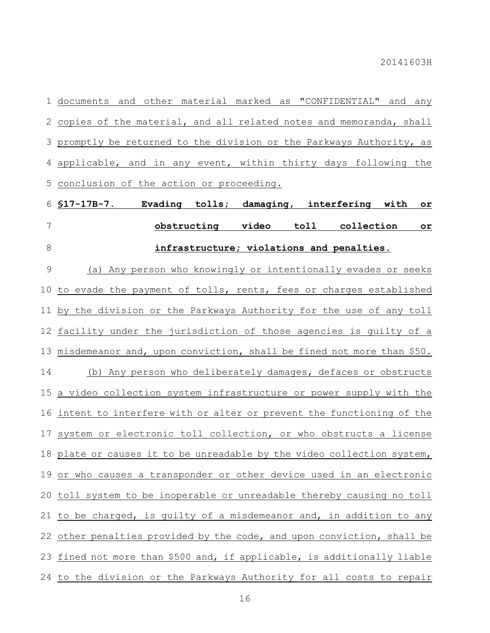documents and other material marked as "CONFIDENTIAL" and any copies of the material, and all related notes and memoranda, shall promptly be returned to the division or the Parkways Authority, as applicable, and in any event, within thirty days following the conclusion of the action or proceeding.

# **§17-17B-7. Evading tolls; damaging, interfering with or obstructing video toll collection or infrastructure; violations and penalties.**

 (a) Any person who knowingly or intentionally evades or seeks to evade the payment of tolls, rents, fees or charges established by the division or the Parkways Authority for the use of any toll facility under the jurisdiction of those agencies is guilty of a misdemeanor and, upon conviction, shall be fined not more than \$50. (b) Any person who deliberately damages, defaces or obstructs a video collection system infrastructure or power supply with the intent to interfere with or alter or prevent the functioning of the system or electronic toll collection, or who obstructs a license plate or causes it to be unreadable by the video collection system, or who causes a transponder or other device used in an electronic toll system to be inoperable or unreadable thereby causing no toll to be charged, is guilty of a misdemeanor and, in addition to any 22 other penalties provided by the code, and upon conviction, shall be fined not more than \$500 and, if applicable, is additionally liable to the division or the Parkways Authority for all costs to repair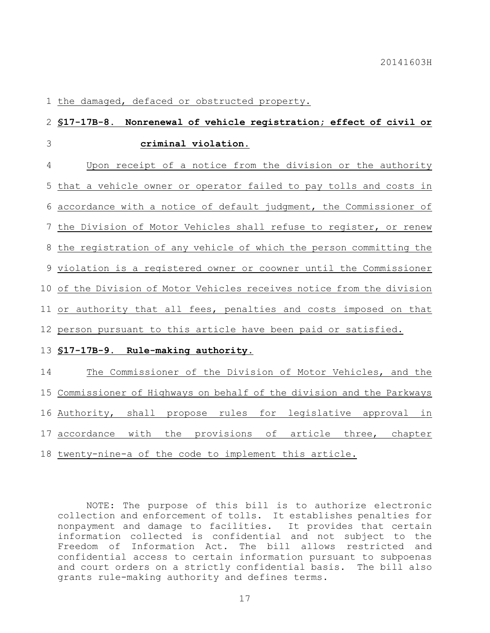the damaged, defaced or obstructed property.

# **§17-17B-8. Nonrenewal of vehicle registration; effect of civil or criminal violation.**

 Upon receipt of a notice from the division or the authority that a vehicle owner or operator failed to pay tolls and costs in accordance with a notice of default judgment, the Commissioner of the Division of Motor Vehicles shall refuse to register, or renew the registration of any vehicle of which the person committing the violation is a registered owner or coowner until the Commissioner of the Division of Motor Vehicles receives notice from the division or authority that all fees, penalties and costs imposed on that person pursuant to this article have been paid or satisfied. **§17-17B-9. Rule-making authority.** The Commissioner of the Division of Motor Vehicles, and the Commissioner of Highways on behalf of the division and the Parkways Authority, shall propose rules for legislative approval in

accordance with the provisions of article three, chapter

twenty-nine-a of the code to implement this article.

NOTE: The purpose of this bill is to authorize electronic collection and enforcement of tolls. It establishes penalties for nonpayment and damage to facilities. It provides that certain information collected is confidential and not subject to the Freedom of Information Act. The bill allows restricted and confidential access to certain information pursuant to subpoenas and court orders on a strictly confidential basis. The bill also grants rule-making authority and defines terms.